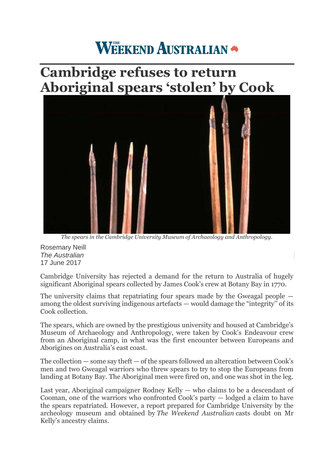## **WEEKEND AUSTRALIAN**

## **Cambridge refuses to return Aboriginal spears 'stolen' by Cook**



*The spears in the Cambridge University Museum of Archaeology and Anthropology.*

Rosemary Neill *The Australian* 17 June 2017

Cambridge University has rejected a demand for the return to Australia of hugely significant Aboriginal spears collected by James Cook's crew at Botany Bay in 1770.

The university claims that repatriating four spears made by the Gweagal people among the oldest surviving indigenous artefacts — would damage the "integrity'' of its Cook collection.

The spears, which are owned by the prestigious university and housed at Cambridge's Museum of Archaeology and Anthropology, were taken by Cook's Endeavour crew from an Aboriginal camp, in what was the first encounter between Europeans and Aborigines on Australia's east coast.

The collection — some say theft — of the spears followed an altercation between Cook's men and two Gweagal warriors who threw spears to try to stop the Europeans from landing at Botany Bay. The Aboriginal men were fired on, and one was shot in the leg.

Last year, Aboriginal campaigner Rodney Kelly — who claims to be a descendant of Cooman, one of the warriors who confronted Cook's party — lodged a claim to have the spears repatriated. However, a report prepared for Cambridge University by the archeology museum and obtained by *The Weekend Australian* casts doubt on Mr Kelly's ancestry claims.